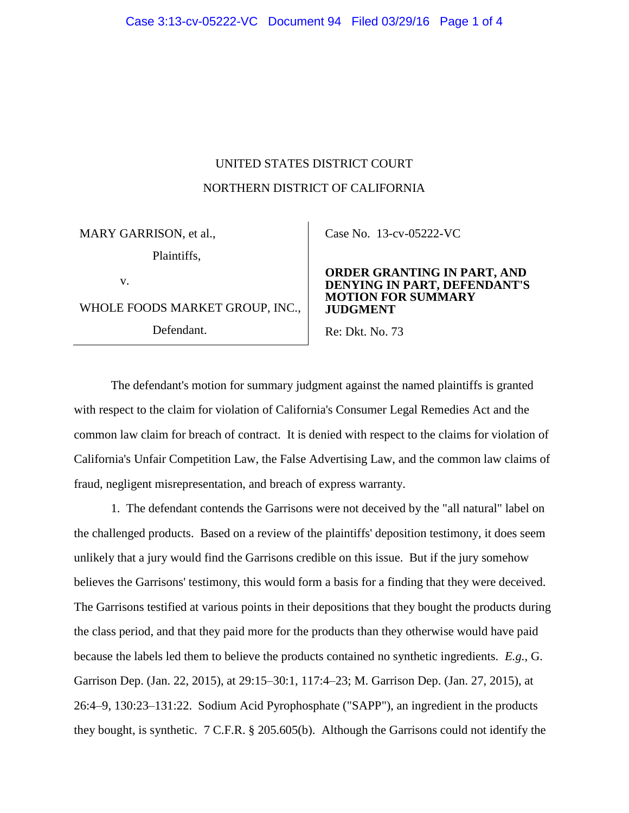## UNITED STATES DISTRICT COURT NORTHERN DISTRICT OF CALIFORNIA

MARY GARRISON, et al., Plaintiffs, v.

WHOLE FOODS MARKET GROUP, INC.,

Defendant.

Case No. [13-cv-05222-VC](https://ecf.cand.uscourts.gov/cgi-bin/DktRpt.pl?271802) 

## **ORDER GRANTING IN PART, AND G IN PART, DEFENDANT'S MOTION FOR SUMMARY JUDGMENT**

Re: Dkt. No. 73

The defendant's motion for summary judgment against the named plaintiffs is granted with respect to the claim for violation of California's Consumer Legal Remedies Act and the common law claim for breach of contract. It is denied with respect to the claims for violation of California's Unfair Competition Law, the False Advertising Law, and the common law claims of fraud, negligent misrepresentation, and breach of express warranty.

1. The defendant contends the Garrisons were not deceived by the "all natural" label on the challenged products. Based on a review of the plaintiffs' deposition testimony, it does seem unlikely that a jury would find the Garrisons credible on this issue. But if the jury somehow believes the Garrisons' testimony, this would form a basis for a finding that they were deceived. The Garrisons testified at various points in their depositions that they bought the products during the class period, and that they paid more for the products than they otherwise would have paid because the labels led them to believe the products contained no synthetic ingredients. *E.g.*, G. Garrison Dep. (Jan. 22, 2015), at 29:15–30:1, 117:4–23; M. Garrison Dep. (Jan. 27, 2015), at 26:4–9, 130:23–131:22. Sodium Acid Pyrophosphate ("SAPP"), an ingredient in the products they bought, is synthetic. 7 C.F.R. § 205.605(b). Although the Garrisons could not identify the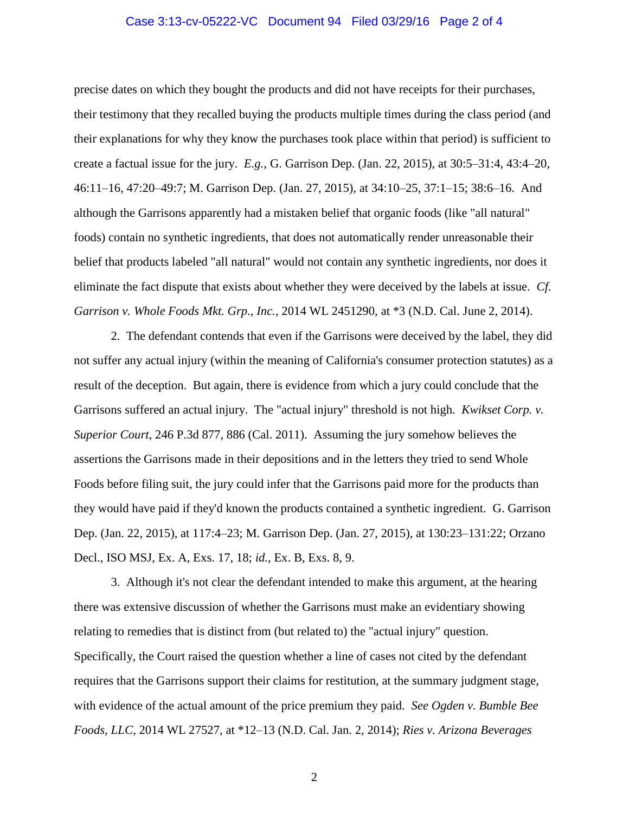## Case 3:13-cv-05222-VC Document 94 Filed 03/29/16 Page 2 of 4

precise dates on which they bought the products and did not have receipts for their purchases, their testimony that they recalled buying the products multiple times during the class period (and their explanations for why they know the purchases took place within that period) is sufficient to create a factual issue for the jury. *E.g.*, G. Garrison Dep. (Jan. 22, 2015), at 30:5–31:4, 43:4–20, 46:11–16, 47:20–49:7; M. Garrison Dep. (Jan. 27, 2015), at 34:10–25, 37:1–15; 38:6–16. And although the Garrisons apparently had a mistaken belief that organic foods (like "all natural" foods) contain no synthetic ingredients, that does not automatically render unreasonable their belief that products labeled "all natural" would not contain any synthetic ingredients, nor does it eliminate the fact dispute that exists about whether they were deceived by the labels at issue. *Cf. Garrison v. Whole Foods Mkt. Grp., Inc.*, 2014 WL 2451290, at \*3 (N.D. Cal. June 2, 2014).

2. The defendant contends that even if the Garrisons were deceived by the label, they did not suffer any actual injury (within the meaning of California's consumer protection statutes) as a result of the deception. But again, there is evidence from which a jury could conclude that the Garrisons suffered an actual injury. The "actual injury" threshold is not high. *Kwikset Corp. v. Superior Court*, 246 P.3d 877, 886 (Cal. 2011). Assuming the jury somehow believes the assertions the Garrisons made in their depositions and in the letters they tried to send Whole Foods before filing suit, the jury could infer that the Garrisons paid more for the products than they would have paid if they'd known the products contained a synthetic ingredient. G. Garrison Dep. (Jan. 22, 2015), at 117:4–23; M. Garrison Dep. (Jan. 27, 2015), at 130:23–131:22; Orzano Decl., ISO MSJ, Ex. A, Exs. 17, 18; *id.*, Ex. B, Exs. 8, 9.

3. Although it's not clear the defendant intended to make this argument, at the hearing there was extensive discussion of whether the Garrisons must make an evidentiary showing relating to remedies that is distinct from (but related to) the "actual injury" question. Specifically, the Court raised the question whether a line of cases not cited by the defendant requires that the Garrisons support their claims for restitution, at the summary judgment stage, with evidence of the actual amount of the price premium they paid. *See Ogden v. Bumble Bee Foods, LLC*, 2014 WL 27527, at \*12–13 (N.D. Cal. Jan. 2, 2014); *Ries v. Arizona Beverages* 

2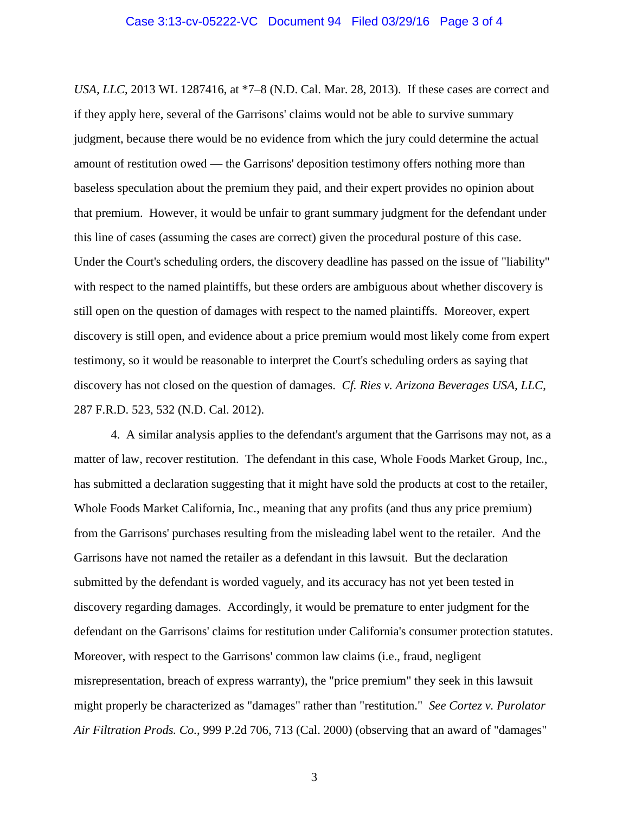*USA, LLC*, 2013 WL 1287416, at \*7–8 (N.D. Cal. Mar. 28, 2013). If these cases are correct and if they apply here, several of the Garrisons' claims would not be able to survive summary judgment, because there would be no evidence from which the jury could determine the actual amount of restitution owed — the Garrisons' deposition testimony offers nothing more than baseless speculation about the premium they paid, and their expert provides no opinion about that premium. However, it would be unfair to grant summary judgment for the defendant under this line of cases (assuming the cases are correct) given the procedural posture of this case. Under the Court's scheduling orders, the discovery deadline has passed on the issue of "liability" with respect to the named plaintiffs, but these orders are ambiguous about whether discovery is still open on the question of damages with respect to the named plaintiffs. Moreover, expert discovery is still open, and evidence about a price premium would most likely come from expert testimony, so it would be reasonable to interpret the Court's scheduling orders as saying that discovery has not closed on the question of damages. *Cf. Ries v. Arizona Beverages USA, LLC*, 287 F.R.D. 523, 532 (N.D. Cal. 2012).

4. A similar analysis applies to the defendant's argument that the Garrisons may not, as a matter of law, recover restitution. The defendant in this case, Whole Foods Market Group, Inc., has submitted a declaration suggesting that it might have sold the products at cost to the retailer, Whole Foods Market California, Inc., meaning that any profits (and thus any price premium) from the Garrisons' purchases resulting from the misleading label went to the retailer. And the Garrisons have not named the retailer as a defendant in this lawsuit. But the declaration submitted by the defendant is worded vaguely, and its accuracy has not yet been tested in discovery regarding damages. Accordingly, it would be premature to enter judgment for the defendant on the Garrisons' claims for restitution under California's consumer protection statutes. Moreover, with respect to the Garrisons' common law claims (i.e., fraud, negligent misrepresentation, breach of express warranty), the "price premium" they seek in this lawsuit might properly be characterized as "damages" rather than "restitution." *See Cortez v. Purolator Air Filtration Prods. Co.*, 999 P.2d 706, 713 (Cal. 2000) (observing that an award of "damages"

3